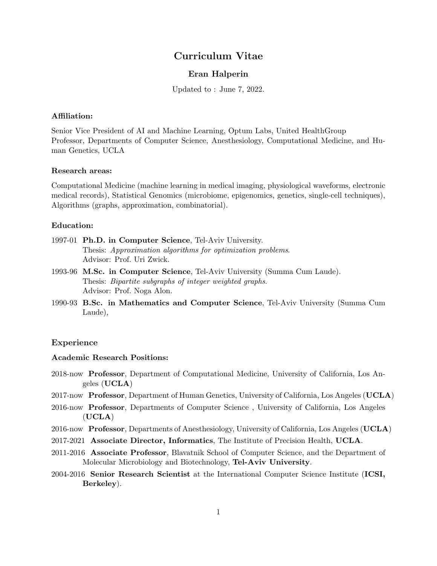# Curriculum Vitae

# Eran Halperin

Updated to : June 7, 2022.

### Affiliation:

Senior Vice President of AI and Machine Learning, Optum Labs, United HealthGroup Professor, Departments of Computer Science, Anesthesiology, Computational Medicine, and Human Genetics, UCLA

### Research areas:

Computational Medicine (machine learning in medical imaging, physiological waveforms, electronic medical records), Statistical Genomics (microbiome, epigenomics, genetics, single-cell techniques), Algorithms (graphs, approximation, combinatorial).

### Education:

- 1997-01 Ph.D. in Computer Science, Tel-Aviv University. Thesis: Approximation algorithms for optimization problems. Advisor: Prof. Uri Zwick.
- 1993-96 M.Sc. in Computer Science, Tel-Aviv University (Summa Cum Laude). Thesis: Bipartite subgraphs of integer weighted graphs. Advisor: Prof. Noga Alon.
- 1990-93 B.Sc. in Mathematics and Computer Science, Tel-Aviv University (Summa Cum Laude),

### Experience

### Academic Research Positions:

- 2018-now Professor, Department of Computational Medicine, University of California, Los Angeles (UCLA)
- 2017-now Professor, Department of Human Genetics, University of California, Los Angeles (UCLA)
- 2016-now Professor, Departments of Computer Science , University of California, Los Angeles  $(UCLA)$
- 2016-now Professor, Departments of Anesthesiology, University of California, Los Angeles (UCLA)
- 2017-2021 Associate Director, Informatics, The Institute of Precision Health, UCLA.
- 2011-2016 Associate Professor, Blavatnik School of Computer Science, and the Department of Molecular Microbiology and Biotechnology, Tel-Aviv University.
- 2004-2016 Senior Research Scientist at the International Computer Science Institute (ICSI, Berkeley).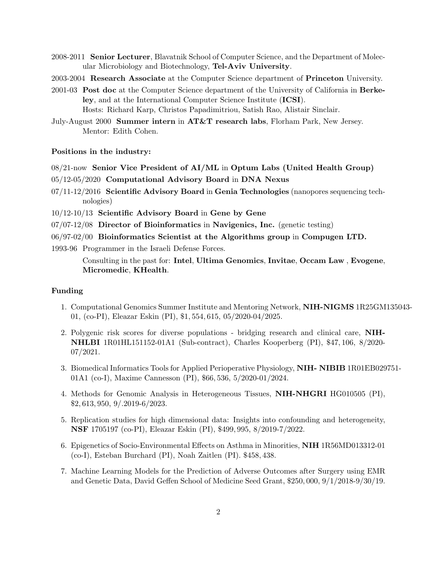- 2008-2011 Senior Lecturer, Blavatnik School of Computer Science, and the Department of Molecular Microbiology and Biotechnology, Tel-Aviv University.
- 2003-2004 Research Associate at the Computer Science department of Princeton University.
- 2001-03 Post doc at the Computer Science department of the University of California in Berkeley, and at the International Computer Science Institute (ICSI). Hosts: Richard Karp, Christos Papadimitriou, Satish Rao, Alistair Sinclair.
- July-August 2000 Summer intern in AT&T research labs, Florham Park, New Jersey. Mentor: Edith Cohen.

### Positions in the industry:

- $08/21$ -now Senior Vice President of AI/ML in Optum Labs (United Health Group)
- 05/12-05/2020 Computational Advisory Board in DNA Nexus
- 07/11-12/2016 Scientific Advisory Board in Genia Technologies (nanopores sequencing technologies)
- 10/12-10/13 Scientific Advisory Board in Gene by Gene
- $07/07-12/08$  Director of Bioinformatics in Navigenics, Inc. (genetic testing)
- 06/97-02/00 Bioinformatics Scientist at the Algorithms group in Compugen LTD.
- 1993-96 Programmer in the Israeli Defense Forces.

Consulting in the past for: Intel, Ultima Genomics, Invitae, Occam Law , Evogene, Micromedic, KHealth.

### Funding

- 1. Computational Genomics Summer Institute and Mentoring Network, NIH-NIGMS 1R25GM135043- 01, (co-PI), Eleazar Eskin (PI), \$1, 554, 615, 05/2020-04/2025.
- 2. Polygenic risk scores for diverse populations bridging research and clinical care, NIH-NHLBI 1R01HL151152-01A1 (Sub-contract), Charles Kooperberg (PI), \$47, 106, 8/2020- 07/2021.
- 3. Biomedical Informatics Tools for Applied Perioperative Physiology, NIH- NIBIB 1R01EB029751- 01A1 (co-I), Maxime Cannesson (PI), \$66, 536, 5/2020-01/2024.
- 4. Methods for Genomic Analysis in Heterogeneous Tissues, NIH-NHGRI HG010505 (PI), \$2, 613, 950, 9/.2019-6/2023.
- 5. Replication studies for high dimensional data: Insights into confounding and heterogeneity, NSF 1705197 (co-PI), Eleazar Eskin (PI), \$499, 995, 8/2019-7/2022.
- 6. Epigenetics of Socio-Environmental Effects on Asthma in Minorities, NIH 1R56MD013312-01 (co-I), Esteban Burchard (PI), Noah Zaitlen (PI). \$458, 438.
- 7. Machine Learning Models for the Prediction of Adverse Outcomes after Surgery using EMR and Genetic Data, David Geffen School of Medicine Seed Grant, \$250, 000, 9/1/2018-9/30/19.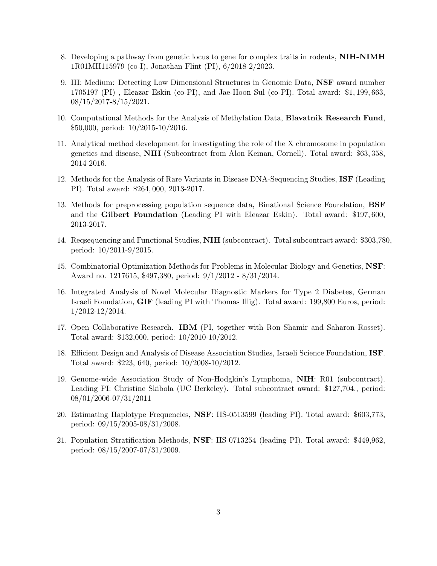- 8. Developing a pathway from genetic locus to gene for complex traits in rodents, NIH-NIMH 1R01MH115979 (co-I), Jonathan Flint (PI), 6/2018-2/2023.
- 9. III: Medium: Detecting Low Dimensional Structures in Genomic Data, NSF award number 1705197 (PI) , Eleazar Eskin (co-PI), and Jae-Hoon Sul (co-PI). Total award: \$1, 199, 663,  $08/15/2017 - 8/15/2021$ .
- 10. Computational Methods for the Analysis of Methylation Data, Blavatnik Research Fund, \$50,000, period: 10/2015-10/2016.
- 11. Analytical method development for investigating the role of the X chromosome in population genetics and disease, NIH (Subcontract from Alon Keinan, Cornell). Total award: \$63, 358, 2014-2016.
- 12. Methods for the Analysis of Rare Variants in Disease DNA-Sequencing Studies, ISF (Leading PI). Total award: \$264, 000, 2013-2017.
- 13. Methods for preprocessing population sequence data, Binational Science Foundation, BSF and the Gilbert Foundation (Leading PI with Eleazar Eskin). Total award: \$197, 600, 2013-2017.
- 14. Reqsequencing and Functional Studies, NIH (subcontract). Total subcontract award: \$303,780, period: 10/2011-9/2015.
- 15. Combinatorial Optimization Methods for Problems in Molecular Biology and Genetics, NSF: Award no. 1217615, \$497,380, period: 9/1/2012 - 8/31/2014.
- 16. Integrated Analysis of Novel Molecular Diagnostic Markers for Type 2 Diabetes, German Israeli Foundation, GIF (leading PI with Thomas Illig). Total award: 199,800 Euros, period: 1/2012-12/2014.
- 17. Open Collaborative Research. IBM (PI, together with Ron Shamir and Saharon Rosset). Total award: \$132,000, period: 10/2010-10/2012.
- 18. Efficient Design and Analysis of Disease Association Studies, Israeli Science Foundation, ISF. Total award: \$223, 640, period: 10/2008-10/2012.
- 19. Genome-wide Association Study of Non-Hodgkin's Lymphoma, NIH: R01 (subcontract). Leading PI: Christine Skibola (UC Berkeley). Total subcontract award: \$127,704., period: 08/01/2006-07/31/2011
- 20. Estimating Haplotype Frequencies, NSF: IIS-0513599 (leading PI). Total award: \$603,773, period: 09/15/2005-08/31/2008.
- 21. Population Stratification Methods, NSF: IIS-0713254 (leading PI). Total award: \$449,962, period: 08/15/2007-07/31/2009.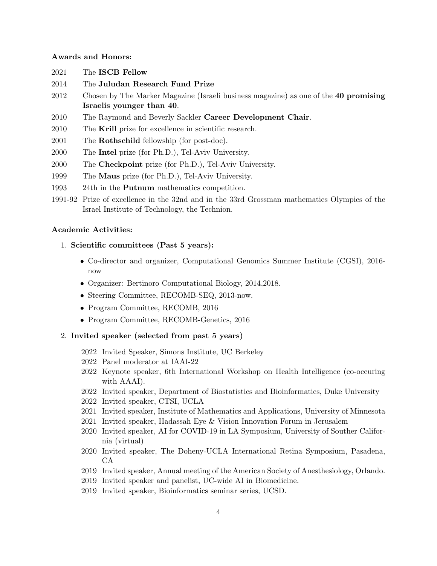### Awards and Honors:

- 2021 The ISCB Fellow
- 2014 The Juludan Research Fund Prize
- 2012 Chosen by The Marker Magazine (Israeli business magazine) as one of the 40 promising Israelis younger than 40.
- 2010 The Raymond and Beverly Sackler Career Development Chair.
- 2010 The Krill prize for excellence in scientific research.
- 2001 The **Rothschild** fellowship (for post-doc).
- 2000 The Intel prize (for Ph.D.), Tel-Aviv University.
- 2000 The Checkpoint prize (for Ph.D.), Tel-Aviv University.
- 1999 The Maus prize (for Ph.D.), Tel-Aviv University.
- 1993 24th in the Putnum mathematics competition.
- 1991-92 Prize of excellence in the 32nd and in the 33rd Grossman mathematics Olympics of the Israel Institute of Technology, the Technion.

#### Academic Activities:

- 1. Scientific committees (Past 5 years):
	- Co-director and organizer, Computational Genomics Summer Institute (CGSI), 2016 now
	- Organizer: Bertinoro Computational Biology, 2014,2018.
	- Steering Committee, RECOMB-SEQ, 2013-now.
	- Program Committee, RECOMB, 2016
	- Program Committee, RECOMB-Genetics, 2016
- 2. Invited speaker (selected from past 5 years)
	- 2022 Invited Speaker, Simons Institute, UC Berkeley
	- 2022 Panel moderator at IAAI-22
	- 2022 Keynote speaker, 6th International Workshop on Health Intelligence (co-occuring with AAAI).
	- 2022 Invited speaker, Department of Biostatistics and Bioinformatics, Duke University
	- 2022 Invited speaker, CTSI, UCLA
	- 2021 Invited speaker, Institute of Mathematics and Applications, University of Minnesota
	- 2021 Invited speaker, Hadassah Eye & Vision Innovation Forum in Jerusalem
	- 2020 Invited speaker, AI for COVID-19 in LA Symposium, University of Souther California (virtual)
	- 2020 Invited speaker, The Doheny-UCLA International Retina Symposium, Pasadena, CA
	- 2019 Invited speaker, Annual meeting of the American Society of Anesthesiology, Orlando.
	- 2019 Invited speaker and panelist, UC-wide AI in Biomedicine.
	- 2019 Invited speaker, Bioinformatics seminar series, UCSD.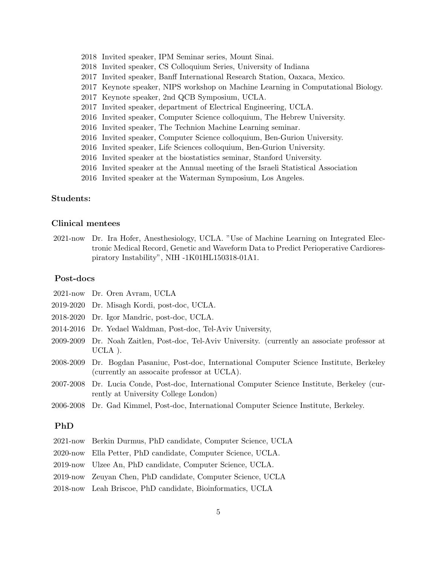- 2018 Invited speaker, IPM Seminar series, Mount Sinai.
- 2018 Invited speaker, CS Colloquium Series, University of Indiana
- 2017 Invited speaker, Banff International Research Station, Oaxaca, Mexico.
- 2017 Keynote speaker, NIPS workshop on Machine Learning in Computational Biology.
- 2017 Keynote speaker, 2nd QCB Symposium, UCLA.
- 2017 Invited speaker, department of Electrical Engineering, UCLA.
- 2016 Invited speaker, Computer Science colloquium, The Hebrew University.
- 2016 Invited speaker, The Technion Machine Learning seminar.
- 2016 Invited speaker, Computer Science colloquium, Ben-Gurion University.
- 2016 Invited speaker, Life Sciences colloquium, Ben-Gurion University.
- 2016 Invited speaker at the biostatistics seminar, Stanford University.
- 2016 Invited speaker at the Annual meeting of the Israeli Statistical Association
- 2016 Invited speaker at the Waterman Symposium, Los Angeles.

## Students:

# Clinical mentees

2021-now Dr. Ira Hofer, Anesthesiology, UCLA. "Use of Machine Learning on Integrated Electronic Medical Record, Genetic and Waveform Data to Predict Perioperative Cardiorespiratory Instability", NIH -1K01HL150318-01A1.

# Post-docs

- 2021-now Dr. Oren Avram, UCLA
- 2019-2020 Dr. Misagh Kordi, post-doc, UCLA.
- 2018-2020 Dr. Igor Mandric, post-doc, UCLA.
- 2014-2016 Dr. Yedael Waldman, Post-doc, Tel-Aviv University,
- 2009-2009 Dr. Noah Zaitlen, Post-doc, Tel-Aviv University. (currently an associate professor at UCLA ).
- 2008-2009 Dr. Bogdan Pasaniuc, Post-doc, International Computer Science Institute, Berkeley (currently an assocaite professor at UCLA).
- 2007-2008 Dr. Lucia Conde, Post-doc, International Computer Science Institute, Berkeley (currently at University College London)
- 2006-2008 Dr. Gad Kimmel, Post-doc, International Computer Science Institute, Berkeley.

# PhD

- 2021-now Berkin Durmus, PhD candidate, Computer Science, UCLA
- 2020-now Ella Petter, PhD candidate, Computer Science, UCLA.
- 2019-now Ulzee An, PhD candidate, Computer Science, UCLA.
- 2019-now Zeuyan Chen, PhD candidate, Computer Science, UCLA
- 2018-now Leah Briscoe, PhD candidate, Bioinformatics, UCLA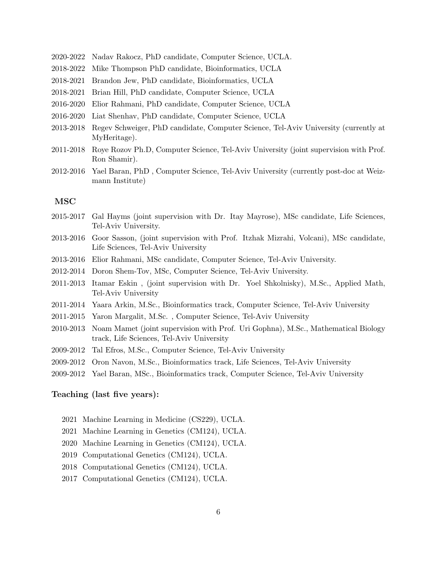- 2020-2022 Nadav Rakocz, PhD candidate, Computer Science, UCLA.
- 2018-2022 Mike Thompson PhD candidate, Bioinformatics, UCLA
- 2018-2021 Brandon Jew, PhD candidate, Bioinformatics, UCLA
- 2018-2021 Brian Hill, PhD candidate, Computer Science, UCLA
- 2016-2020 Elior Rahmani, PhD candidate, Computer Science, UCLA
- 2016-2020 Liat Shenhav, PhD candidate, Computer Science, UCLA
- 2013-2018 Regev Schweiger, PhD candidate, Computer Science, Tel-Aviv University (currently at MyHeritage).
- 2011-2018 Roye Rozov Ph.D, Computer Science, Tel-Aviv University (joint supervision with Prof. Ron Shamir).
- 2012-2016 Yael Baran, PhD , Computer Science, Tel-Aviv University (currently post-doc at Weizmann Institute)

# MSC

- 2015-2017 Gal Hayms (joint supervision with Dr. Itay Mayrose), MSc candidate, Life Sciences, Tel-Aviv University.
- 2013-2016 Goor Sasson, (joint supervision with Prof. Itzhak Mizrahi, Volcani), MSc candidate, Life Sciences, Tel-Aviv University
- 2013-2016 Elior Rahmani, MSc candidate, Computer Science, Tel-Aviv University.
- 2012-2014 Doron Shem-Tov, MSc, Computer Science, Tel-Aviv University.
- 2011-2013 Itamar Eskin , (joint supervision with Dr. Yoel Shkolnisky), M.Sc., Applied Math, Tel-Aviv University
- 2011-2014 Yaara Arkin, M.Sc., Bioinformatics track, Computer Science, Tel-Aviv University
- 2011-2015 Yaron Margalit, M.Sc. , Computer Science, Tel-Aviv University
- 2010-2013 Noam Mamet (joint supervision with Prof. Uri Gophna), M.Sc., Mathematical Biology track, Life Sciences, Tel-Aviv University
- 2009-2012 Tal Efros, M.Sc., Computer Science, Tel-Aviv University
- 2009-2012 Oron Navon, M.Sc., Bioinformatics track, Life Sciences, Tel-Aviv University
- 2009-2012 Yael Baran, MSc., Bioinformatics track, Computer Science, Tel-Aviv University

## Teaching (last five years):

- 2021 Machine Learning in Medicine (CS229), UCLA.
- 2021 Machine Learning in Genetics (CM124), UCLA.
- 2020 Machine Learning in Genetics (CM124), UCLA.
- 2019 Computational Genetics (CM124), UCLA.
- 2018 Computational Genetics (CM124), UCLA.
- 2017 Computational Genetics (CM124), UCLA.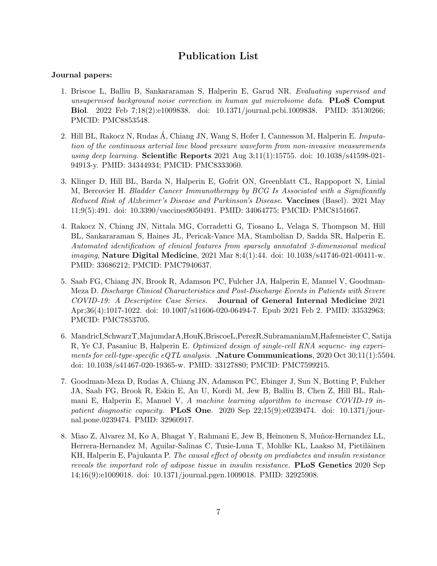# Publication List

### Journal papers:

- 1. Briscoe L, Balliu B, Sankararaman S, Halperin E, Garud NR. Evaluating supervised and unsupervised background noise correction in human gut microbiome data. **PLoS Comput** Biol. 2022 Feb 7;18(2):e1009838. doi: 10.1371/journal.pcbi.1009838. PMID: 35130266; PMCID: PMC8853548.
- 2. Hill BL, Rakocz N, Rudas A, Chiang JN, Wang S, Hofer I, Cannesson M, Halperin E. Imputation of the continuous arterial line blood pressure waveform from non-invasive measurements using deep learning. Scientific Reports 2021 Aug  $3;11(1):15755$ . doi: 10.1038/s41598-021-94913-y. PMID: 34344934; PMCID: PMC8333060.
- 3. Klinger D, Hill BL, Barda N, Halperin E, Gofrit ON, Greenblatt CL, Rappoport N, Linial M, Bercovier H. Bladder Cancer Immunotherapy by BCG Is Associated with a Significantly Reduced Risk of Alzheimer's Disease and Parkinson's Disease. Vaccines (Basel). 2021 May 11;9(5):491. doi: 10.3390/vaccines9050491. PMID: 34064775; PMCID: PMC8151667.
- 4. Rakocz N, Chiang JN, Nittala MG, Corradetti G, Tiosano L, Velaga S, Thompson M, Hill BL, Sankararaman S, Haines JL, Pericak-Vance MA, Stambolian D, Sadda SR, Halperin E. Automated identification of clinical features from sparsely annotated 3-dimensional medical imaging, Nature Digital Medicine, 2021 Mar 8;4(1):44. doi: 10.1038/s41746-021-00411-w. PMID: 33686212; PMCID: PMC7940637.
- 5. Saab FG, Chiang JN, Brook R, Adamson PC, Fulcher JA, Halperin E, Manuel V, Goodman-Meza D. Discharge Clinical Characteristics and Post-Discharge Events in Patients with Severe COVID-19: A Descriptive Case Series. Journal of General Internal Medicine 2021 Apr;36(4):1017-1022. doi: 10.1007/s11606-020-06494-7. Epub 2021 Feb 2. PMID: 33532963; PMCID: PMC7853705.
- 6. MandricI,SchwarzT,MajumdarA,HouK,BriscoeL,PerezR,SubramaniamM,Hafemeister C, Satija R, Ye CJ, Pasaniuc B, Halperin E. Optimized design of single-cell RNA sequenc- ing experiments for cell-type-specific eQTL analysis. ,Nature Communications, 2020 Oct 30;11(1):5504. doi: 10.1038/s41467-020-19365-w. PMID: 33127880; PMCID: PMC7599215.
- 7. Goodman-Meza D, Rudas A, Chiang JN, Adamson PC, Ebinger J, Sun N, Botting P, Fulcher JA, Saab FG, Brook R, Eskin E, An U, Kordi M, Jew B, Balliu B, Chen Z, Hill BL, Rahmani E, Halperin E, Manuel V, A machine learning algorithm to increase COVID-19 inpatient diagnostic capacity. **PLoS One.** 2020 Sep  $22;15(9):e0239474$ . doi: 10.1371/journal.pone.0239474. PMID: 32960917.
- 8. Miao Z, Alvarez M, Ko A, Bhagat Y, Rahmani E, Jew B, Heinonen S, Muñoz-Hernandez LL, Herrera-Hernandez M, Aguilar-Salinas C, Tusie-Luna T, Mohlke KL, Laakso M, Pietiläinen KH, Halperin E, Pajukanta P. The causal effect of obesity on prediabetes and insulin resistance reveals the important role of adipose tissue in insulin resistance. **PLoS Genetics** 2020 Sep 14;16(9):e1009018. doi: 10.1371/journal.pgen.1009018. PMID: 32925908.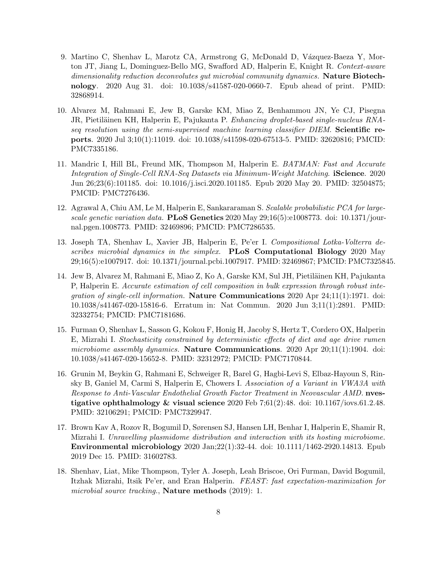- 9. Martino C, Shenhav L, Marotz CA, Armstrong G, McDonald D, Vázquez-Baeza Y, Morton JT, Jiang L, Dominguez-Bello MG, Swafford AD, Halperin E, Knight R. Context-aware dimensionality reduction deconvolutes qut microbial community dynamics. Nature Biotechnology. 2020 Aug 31. doi: 10.1038/s41587-020-0660-7. Epub ahead of print. PMID: 32868914.
- 10. Alvarez M, Rahmani E, Jew B, Garske KM, Miao Z, Benhammou JN, Ye CJ, Pisegna JR, Pietiläinen KH, Halperin E, Pajukanta P. *Enhancing droplet-based single-nucleus RNA*seq resolution using the semi-supervised machine learning classifier DIEM. Scientific reports. 2020 Jul 3;10(1):11019. doi: 10.1038/s41598-020-67513-5. PMID: 32620816; PMCID: PMC7335186.
- 11. Mandric I, Hill BL, Freund MK, Thompson M, Halperin E. BATMAN: Fast and Accurate Integration of Single-Cell RNA-Seq Datasets via Minimum-Weight Matching. **iScience**. 2020 Jun 26;23(6):101185. doi: 10.1016/j.isci.2020.101185. Epub 2020 May 20. PMID: 32504875; PMCID: PMC7276436.
- 12. Agrawal A, Chiu AM, Le M, Halperin E, Sankararaman S. Scalable probabilistic PCA for largescale genetic variation data. **PLoS Genetics** 2020 May  $29:16(5):e1008773$ . doi: 10.1371/journal.pgen.1008773. PMID: 32469896; PMCID: PMC7286535.
- 13. Joseph TA, Shenhav L, Xavier JB, Halperin E, Pe'er I. Compositional Lotka-Volterra describes microbial dynamics in the simplex. PLoS Computational Biology 2020 May 29;16(5):e1007917. doi: 10.1371/journal.pcbi.1007917. PMID: 32469867; PMCID: PMC7325845.
- 14. Jew B, Alvarez M, Rahmani E, Miao Z, Ko A, Garske KM, Sul JH, Pietiläinen KH, Pajukanta P, Halperin E. Accurate estimation of cell composition in bulk expression through robust integration of single-cell information. Nature Communications 2020 Apr 24;11(1):1971. doi: 10.1038/s41467-020-15816-6. Erratum in: Nat Commun. 2020 Jun 3;11(1):2891. PMID: 32332754; PMCID: PMC7181686.
- 15. Furman O, Shenhav L, Sasson G, Kokou F, Honig H, Jacoby S, Hertz T, Cordero OX, Halperin E, Mizrahi I. Stochasticity constrained by deterministic effects of diet and age drive rumen microbiome assembly dynamics. Nature Communications. 2020 Apr 20;11(1):1904. doi: 10.1038/s41467-020-15652-8. PMID: 32312972; PMCID: PMC7170844.
- 16. Grunin M, Beykin G, Rahmani E, Schweiger R, Barel G, Hagbi-Levi S, Elbaz-Hayoun S, Rinsky B, Ganiel M, Carmi S, Halperin E, Chowers I. Association of a Variant in VWA3A with Response to Anti-Vascular Endothelial Growth Factor Treatment in Neovascular AMD. nvestigative ophthalmology & visual science  $2020$  Feb 7;61(2):48. doi: 10.1167/iovs.61.2.48. PMID: 32106291; PMCID: PMC7329947.
- 17. Brown Kav A, Rozov R, Bogumil D, Sørensen SJ, Hansen LH, Benhar I, Halperin E, Shamir R, Mizrahi I. Unravelling plasmidome distribution and interaction with its hosting microbiome. Environmental microbiology 2020 Jan;22(1):32-44. doi: 10.1111/1462-2920.14813. Epub 2019 Dec 15. PMID: 31602783.
- 18. Shenhav, Liat, Mike Thompson, Tyler A. Joseph, Leah Briscoe, Ori Furman, David Bogumil, Itzhak Mizrahi, Itsik Pe'er, and Eran Halperin. FEAST: fast expectation-maximization for microbial source tracking., **Nature methods** (2019): 1.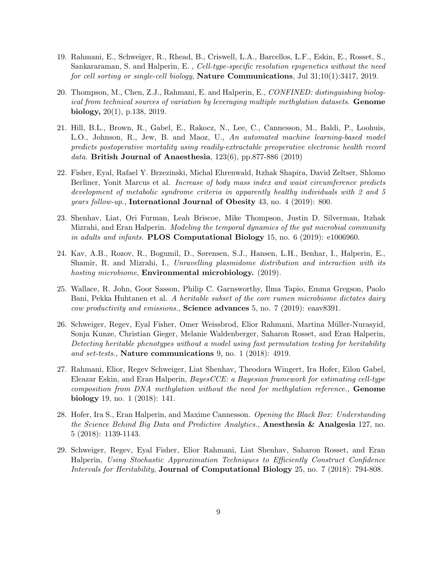- 19. Rahmani, E., Schweiger, R., Rhead, B., Criswell, L.A., Barcellos, L.F., Eskin, E., Rosset, S., Sankararaman, S. and Halperin, E., Cell-type-specific resolution epigenetics without the need for cell sorting or single-cell biology, **Nature Communications**, Jul  $31;10(1):3417, 2019$ .
- 20. Thompson, M., Chen, Z.J., Rahmani, E. and Halperin, E., CONFINED: distinguishing biological from technical sources of variation by leveraging multiple methylation datasets. Genome biology, 20(1), p.138, 2019.
- 21. Hill, B.L., Brown, R., Gabel, E., Rakocz, N., Lee, C., Cannesson, M., Baldi, P., Loohuis, L.O., Johnson, R., Jew, B. and Maoz, U., An automated machine learning-based model predicts postoperative mortality using readily-extractable preoperative electronic health record data. British Journal of Anaesthesia,  $123(6)$ , pp.877-886 (2019)
- 22. Fisher, Eyal, Rafael Y. Brzezinski, Michal Ehrenwald, Itzhak Shapira, David Zeltser, Shlomo Berliner, Yonit Marcus et al. Increase of body mass index and waist circumference predicts development of metabolic syndrome criteria in apparently healthy individuals with 2 and 5 years follow-up., International Journal of Obesity 43, no. 4 (2019): 800.
- 23. Shenhav, Liat, Ori Furman, Leah Briscoe, Mike Thompson, Justin D. Silverman, Itzhak Mizrahi, and Eran Halperin. Modeling the temporal dynamics of the gut microbial community in adults and infants. **PLOS Computational Biology** 15, no.  $6$  (2019): e1006960.
- 24. Kav, A.B., Rozov, R., Bogumil, D., Sørensen, S.J., Hansen, L.H., Benhar, I., Halperin, E., Shamir, R. and Mizrahi, I., Unravelling plasmidome distribution and interaction with its hosting microbiome, **Environmental microbiology.** (2019).
- 25. Wallace, R. John, Goor Sasson, Philip C. Garnsworthy, Ilma Tapio, Emma Gregson, Paolo Bani, Pekka Huhtanen et al. A heritable subset of the core rumen microbiome dictates dairy cow productivity and emissions., Science advances 5, no. 7 (2019): eaav8391.
- 26. Schweiger, Regev, Eyal Fisher, Omer Weissbrod, Elior Rahmani, Martina Müller-Nurasyid, Sonja Kunze, Christian Gieger, Melanie Waldenberger, Saharon Rosset, and Eran Halperin, Detecting heritable phenotypes without a model using fast permutation testing for heritability and set-tests., Nature communications 9, no. 1 (2018): 4919.
- 27. Rahmani, Elior, Regev Schweiger, Liat Shenhav, Theodora Wingert, Ira Hofer, Eilon Gabel, Eleazar Eskin, and Eran Halperin, BayesCCE: a Bayesian framework for estimating cell-type composition from DNA methylation without the need for methylation reference., Genome biology 19, no. 1 (2018): 141.
- 28. Hofer, Ira S., Eran Halperin, and Maxime Cannesson. Opening the Black Box: Understanding the Science Behind Big Data and Predictive Analytics., Anesthesia & Analgesia 127, no. 5 (2018): 1139-1143.
- 29. Schweiger, Regev, Eyal Fisher, Elior Rahmani, Liat Shenhav, Saharon Rosset, and Eran Halperin, Using Stochastic Approximation Techniques to Efficiently Construct Confidence Intervals for Heritability, Journal of Computational Biology 25, no. 7 (2018): 794-808.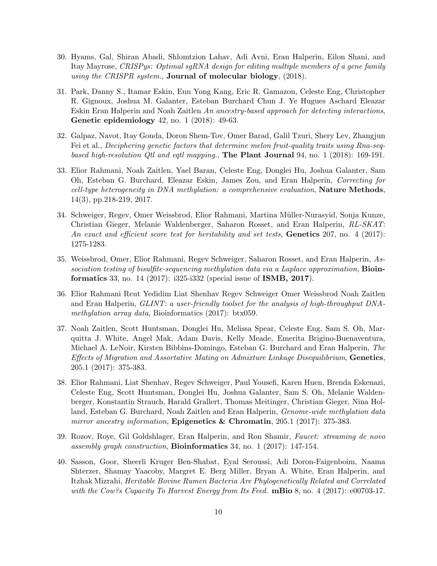- 30. Hyams, Gal, Shiran Abadi, Shlomtzion Lahav, Adi Avni, Eran Halperin, Eilon Shani, and Itay Mayrose, CRISPys: Optimal sgRNA design for editing multiple members of a gene family using the CRISPR system., **Journal of molecular biology**, (2018).
- 31. Park, Danny S., Itamar Eskin, Eun Yong Kang, Eric R. Gamazon, Celeste Eng, Christopher R. Gignoux, Joshua M. Galanter, Esteban Burchard Chun J. Ye Hugues Aschard Eleazar Eskin Eran Halperin and Noah Zaitlen An ancestry-based approach for detecting interactions, Genetic epidemiology 42, no. 1 (2018): 49-63.
- 32. Galpaz, Navot, Itay Gonda, Doron Shem-Tov, Omer Barad, Galil Tzuri, Shery Lev, Zhangjun Fei et al., Deciphering genetic factors that determine melon fruit-quality traits using Rna-seqbased high-resolution  $Qt$ l and eqtl mapping., The Plant Journal 94, no. 1 (2018): 169-191.
- 33. Elior Rahmani, Noah Zaitlen, Yael Baran, Celeste Eng, Donglei Hu, Joshua Galanter, Sam Oh, Esteban G. Burchard, Eleazar Eskin, James Zou, and Eran Halperin, Correcting for  $cell-type~heterogeneity~in~DNA~methylation:~a~comprehensive~evaluation, **Nature~Methods**$ 14(3), pp.218-219, 2017.
- 34. Schweiger, Regev, Omer Weissbrod, Elior Rahmani, Martina Müller-Nurasyid, Sonja Kunze, Christian Gieger, Melanie Waldenberger, Saharon Rosset, and Eran Halperin, RL-SKAT: An exact and efficient score test for heritability and set tests, **Genetics** 207, no. 4 (2017): 1275-1283.
- 35. Weissbrod, Omer, Elior Rahmani, Regev Schweiger, Saharon Rosset, and Eran Halperin, Association testing of bisulfite-sequencing methylation data via a Laplace approximation,  $\mathbf{Bioin}$ formatics 33, no. 14 (2017): i325-i332 (special issue of ISMB, 2017).
- 36. Elior Rahmani Reut Yedidim Liat Shenhav Regev Schweiger Omer Weissbrod Noah Zaitlen and Eran Halperin, GLINT: a user-friendly toolset for the analysis of high-throughput DNAmethylation array data, Bioinformatics (2017): btx059.
- 37. Noah Zaitlen, Scott Huntsman, Donglei Hu, Melissa Spear, Celeste Eng, Sam S. Oh, Marquitta J. White, Angel Mak, Adam Davis, Kelly Meade, Emerita Brigino-Buenaventura, Michael A. LeNoir, Kirsten Bibbins-Domingo, Esteban G. Burchard and Eran Halperin, The Effects of Migration and Assortative Mating on Admixture Linkage Disequilibrium, Genetics, 205.1 (2017): 375-383.
- 38. Elior Rahmani, Liat Shenhav, Regev Schweiger, Paul Yousefi, Karen Huen, Brenda Eskenazi, Celeste Eng, Scott Huntsman, Donglei Hu, Joshua Galanter, Sam S. Oh, Melanie Waldenberger, Konstantin Strauch, Harald Grallert, Thomas Meitinger, Christian Gieger, Nina Holland, Esteban G. Burchard, Noah Zaitlen and Eran Halperin, Genome-wide methylation data mirror ancestry information, **Epigenetics & Chromatin**, 205.1 (2017): 375-383.
- 39. Rozov, Roye, Gil Goldshlager, Eran Halperin, and Ron Shamir, Faucet: streaming de novo assembly graph construction, Bioinformatics 34, no. 1 (2017): 147-154.
- 40. Sasson, Goor, Sheerli Kruger Ben-Shabat, Eyal Seroussi, Adi Doron-Faigenboim, Naama Shterzer, Shamay Yaacoby, Margret E. Berg Miller, Bryan A. White, Eran Halperin, and Itzhak Mizrahi, Heritable Bovine Rumen Bacteria Are Phylogenetically Related and Correlated with the Cow?s Capacity To Harvest Energy from Its Feed.  $\bf{mBio}$  8, no. 4 (2017): e00703-17.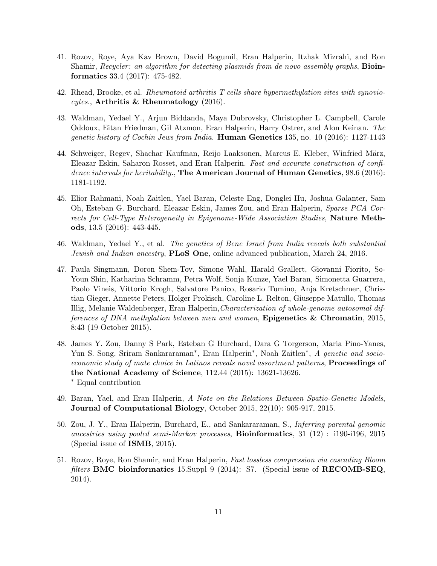- 41. Rozov, Roye, Aya Kav Brown, David Bogumil, Eran Halperin, Itzhak Mizrahi, and Ron Shamir, Recycler: an algorithm for detecting plasmids from de novo assembly graphs, **Bioin**formatics 33.4 (2017): 475-482.
- 42. Rhead, Brooke, et al. Rheumatoid arthritis T cells share hypermethylation sites with synoviocytes., Arthritis & Rheumatology (2016).
- 43. Waldman, Yedael Y., Arjun Biddanda, Maya Dubrovsky, Christopher L. Campbell, Carole Oddoux, Eitan Friedman, Gil Atzmon, Eran Halperin, Harry Ostrer, and Alon Keinan. The genetic history of Cochin Jews from India. **Human Genetics** 135, no. 10 (2016): 1127-1143
- 44. Schweiger, Regev, Shachar Kaufman, Reijo Laaksonen, Marcus E. Kleber, Winfried März, Eleazar Eskin, Saharon Rosset, and Eran Halperin. Fast and accurate construction of confidence intervals for heritability., The American Journal of Human Genetics, 98.6 (2016): 1181-1192.
- 45. Elior Rahmani, Noah Zaitlen, Yael Baran, Celeste Eng, Donglei Hu, Joshua Galanter, Sam Oh, Esteban G. Burchard, Eleazar Eskin, James Zou, and Eran Halperin, Sparse PCA Corrects for Cell-Type Heterogeneity in Epigenome-Wide Association Studies, Nature Methods, 13.5 (2016): 443-445.
- 46. Waldman, Yedael Y., et al. The genetics of Bene Israel from India reveals both substantial Jewish and Indian ancestry, **PLoS One**, online advanced publication, March 24, 2016.
- 47. Paula Singmann, Doron Shem-Tov, Simone Wahl, Harald Grallert, Giovanni Fiorito, So-Youn Shin, Katharina Schramm, Petra Wolf, Sonja Kunze, Yael Baran, Simonetta Guarrera, Paolo Vineis, Vittorio Krogh, Salvatore Panico, Rosario Tumino, Anja Kretschmer, Christian Gieger, Annette Peters, Holger Prokisch, Caroline L. Relton, Giuseppe Matullo, Thomas Illig, Melanie Waldenberger, Eran Halperin,Characterization of whole-genome autosomal differences of DNA methylation between men and women, Epigenetics & Chromatin, 2015, 8:43 (19 October 2015).
- 48. James Y. Zou, Danny S Park, Esteban G Burchard, Dara G Torgerson, Maria Pino-Yanes, Yun S. Song, Sriram Sankararaman<sup>∗</sup>, Eran Halperin<sup>∗</sup>, Noah Zaitlen<sup>∗</sup>, A genetic and socioeconomic study of mate choice in Latinos reveals novel assortment patterns, Proceedings of the National Academy of Science, 112.44 (2015): 13621-13626. <sup>∗</sup> Equal contribution
- 49. Baran, Yael, and Eran Halperin, A Note on the Relations Between Spatio-Genetic Models, Journal of Computational Biology, October 2015, 22(10): 905-917, 2015.
- 50. Zou, J. Y., Eran Halperin, Burchard, E., and Sankararaman, S., Inferring parental genomic ancestries using pooled semi-Markov processes, **Bioinformatics**,  $31$  (12) : i190-i196, 2015 (Special issue of ISMB, 2015).
- 51. Rozov, Roye, Ron Shamir, and Eran Halperin, Fast lossless compression via cascading Bloom filters BMC bioinformatics 15. Suppl 9 (2014): S7. (Special issue of  $RECOMB-SEQ$ , 2014).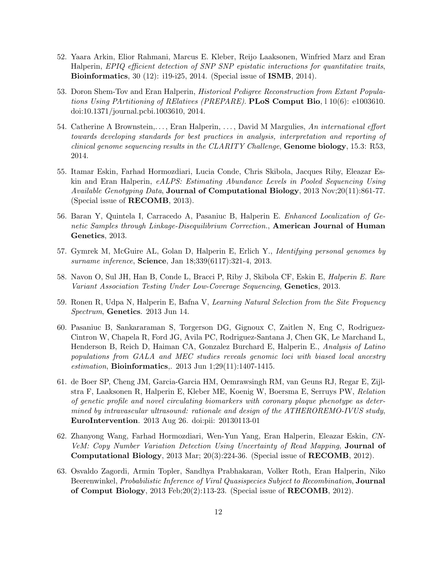- 52. Yaara Arkin, Elior Rahmani, Marcus E. Kleber, Reijo Laaksonen, Winfried Marz and Eran Halperin, EPIQ efficient detection of SNP SNP epistatic interactions for quantitative traits, Bioinformatics, 30 (12): i19-i25, 2014. (Special issue of ISMB, 2014).
- 53. Doron Shem-Tov and Eran Halperin, Historical Pedigree Reconstruction from Extant Populations Using PArtitioning of RElatives (PREPARE). PLoS Comput Bio,  $1\,10(6)$ : e1003610. doi:10.1371/journal.pcbi.1003610, 2014.
- 54. Catherine A Brownstein,..., Eran Halperin, ..., David M Margulies, An international effort towards developing standards for best practices in analysis, interpretation and reporting of *clinical genome sequencing results in the CLARITY Challenge*, **Genome biology**, 15.3: R53, 2014.
- 55. Itamar Eskin, Farhad Hormozdiari, Lucia Conde, Chris Skibola, Jacques Riby, Eleazar Eskin and Eran Halperin, eALPS: Estimating Abundance Levels in Pooled Sequencing Using Available Genotyping Data, **Journal of Computational Biology**, 2013 Nov;20(11):861-77. (Special issue of RECOMB, 2013).
- 56. Baran Y, Quintela I, Carracedo A, Pasaniuc B, Halperin E. Enhanced Localization of Genetic Samples through Linkage-Disequilibrium Correction., **American Journal of Human** Genetics, 2013.
- 57. Gymrek M, McGuire AL, Golan D, Halperin E, Erlich Y., Identifying personal genomes by surname inference, **Science**, Jan 18;339(6117):321-4, 2013.
- 58. Navon O, Sul JH, Han B, Conde L, Bracci P, Riby J, Skibola CF, Eskin E, Halperin E. Rare Variant Association Testing Under Low-Coverage Sequencing, Genetics, 2013.
- 59. Ronen R, Udpa N, Halperin E, Bafna V, Learning Natural Selection from the Site Frequency Spectrum, Genetics. 2013 Jun 14.
- 60. Pasaniuc B, Sankararaman S, Torgerson DG, Gignoux C, Zaitlen N, Eng C, Rodriguez-Cintron W, Chapela R, Ford JG, Avila PC, Rodriguez-Santana J, Chen GK, Le Marchand L, Henderson B, Reich D, Haiman CA, Gonzalez Burchard E, Halperin E., Analysis of Latino populations from GALA and MEC studies reveals genomic loci with biased local ancestry estimation, Bioinformatics,. 2013 Jun 1;29(11):1407-1415.
- 61. de Boer SP, Cheng JM, Garcia-Garcia HM, Oemrawsingh RM, van Geuns RJ, Regar E, Zijlstra F, Laaksonen R, Halperin E, Kleber ME, Koenig W, Boersma E, Serruys PW, Relation of genetic profile and novel circulating biomarkers with coronary plaque phenotype as determined by intravascular ultrasound: rationale and design of the ATHEROREMO-IVUS study, EuroIntervention. 2013 Aug 26. doi:pii: 20130113-01
- 62. Zhanyong Wang, Farhad Hormozdiari, Wen-Yun Yang, Eran Halperin, Eleazar Eskin, CN-VeM: Copy Number Variation Detection Using Uncertainty of Read Mapping, Journal of Computational Biology, 2013 Mar; 20(3):224-36. (Special issue of RECOMB, 2012).
- 63. Osvaldo Zagordi, Armin Topler, Sandhya Prabhakaran, Volker Roth, Eran Halperin, Niko Beerenwinkel, *Probabilistic Inference of Viral Quasispecies Subject to Recombination*, **Journal** of Comput Biology, 2013 Feb;20(2):113-23. (Special issue of RECOMB, 2012).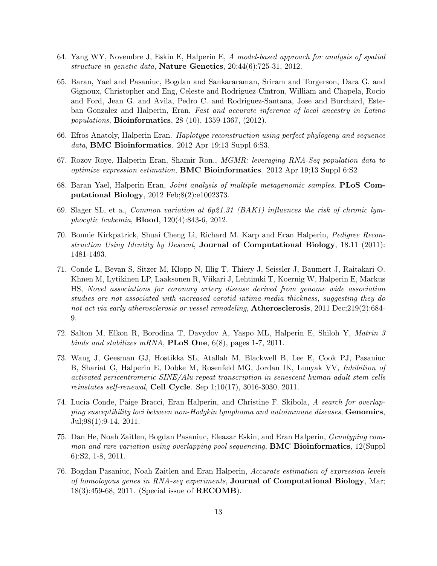- 64. Yang WY, Novembre J, Eskin E, Halperin E, A model-based approach for analysis of spatial structure in genetic data, Nature Genetics, 20;44(6):725-31, 2012.
- 65. Baran, Yael and Pasaniuc, Bogdan and Sankararaman, Sriram and Torgerson, Dara G. and Gignoux, Christopher and Eng, Celeste and Rodriguez-Cintron, William and Chapela, Rocio and Ford, Jean G. and Avila, Pedro C. and Rodriguez-Santana, Jose and Burchard, Esteban Gonzalez and Halperin, Eran, Fast and accurate inference of local ancestry in Latino populations, Bioinformatics, 28 (10), 1359-1367, (2012).
- 66. Efros Anatoly, Halperin Eran. Haplotype reconstruction using perfect phylogeny and sequence data, BMC Bioinformatics. 2012 Apr 19;13 Suppl 6:S3.
- 67. Rozov Roye, Halperin Eran, Shamir Ron., MGMR: leveraging RNA-Seq population data to optimize expression estimation, BMC Bioinformatics. 2012 Apr 19;13 Suppl 6:S2
- 68. Baran Yael, Halperin Eran, Joint analysis of multiple metagenomic samples, PLoS Computational Biology, 2012 Feb;8(2):e1002373.
- 69. Slager SL, et a., Common variation at 6p21.31 (BAK1) influences the risk of chronic lymphocytic leukemia, Blood, 120(4):843-6, 2012.
- 70. Bonnie Kirkpatrick, Shuai Cheng Li, Richard M. Karp and Eran Halperin, Pedigree Reconstruction Using Identity by Descent, **Journal of Computational Biology**, 18.11 (2011): 1481-1493.
- 71. Conde L, Bevan S, Sitzer M, Klopp N, Illig T, Thiery J, Seissler J, Baumert J, Raitakari O. Khnen M, Lytikinen LP, Laaksonen R, Viikari J, Lehtimki T, Koernig W, Halperin E, Markus HS, Novel associations for coronary artery disease derived from genome wide association studies are not associated with increased carotid intima-media thickness, suggesting they do not act via early atherosclerosis or vessel remodeling, **Atherosclerosis**, 2011 Dec;219(2):684-9.
- 72. Salton M, Elkon R, Borodina T, Davydov A, Yaspo ML, Halperin E, Shiloh Y, Matrin 3 binds and stabilizes mRNA, **PLoS One**,  $6(8)$ , pages 1-7, 2011.
- 73. Wang J, Geesman GJ, Hostikka SL, Atallah M, Blackwell B, Lee E, Cook PJ, Pasaniuc B, Shariat G, Halperin E, Dobke M, Rosenfeld MG, Jordan IK, Lunyak VV, Inhibition of activated pericentromeric SINE/Alu repeat transcription in senescent human adult stem cells *reinstates self-renewal*, **Cell Cycle**. Sep  $1;10(17)$ , 3016-3030, 2011.
- 74. Lucia Conde, Paige Bracci, Eran Halperin, and Christine F. Skibola, A search for overlapping susceptibility loci between non-Hodgkin lymphoma and autoimmune diseases, Genomics, Jul;98(1):9-14, 2011.
- 75. Dan He, Noah Zaitlen, Bogdan Pasaniuc, Eleazar Eskin, and Eran Halperin, Genotyping common and rare variation using overlapping pool sequencing, **BMC Bioinformatics**, 12(Suppl 6):S2, 1-8, 2011.
- 76. Bogdan Pasaniuc, Noah Zaitlen and Eran Halperin, Accurate estimation of expression levels of homologous genes in RNA-seq experiments, **Journal of Computational Biology**, Mar; 18(3):459-68, 2011. (Special issue of RECOMB).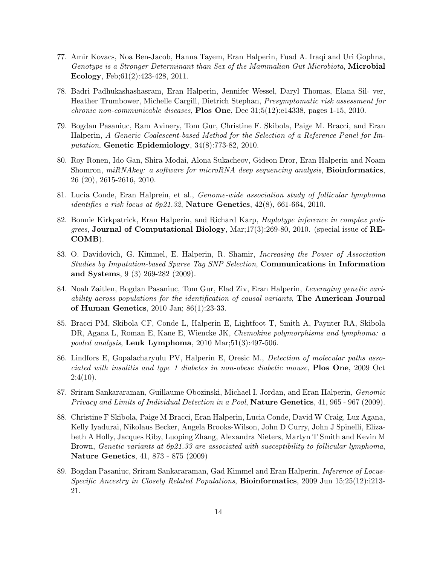- 77. Amir Kovacs, Noa Ben-Jacob, Hanna Tayem, Eran Halperin, Fuad A. Iraqi and Uri Gophna, Genotype is a Stronger Determinant than Sex of the Mammalian Gut Microbiota, Microbial Ecology, Feb;61(2):423-428, 2011.
- 78. Badri Padhukashashasram, Eran Halperin, Jennifer Wessel, Daryl Thomas, Elana Sil- ver, Heather Trumbower, Michelle Cargill, Dietrich Stephan, Presymptomatic risk assessment for *chronic non-communicable diseases*, **Plos One**, Dec  $31:5(12):e14338$ , pages 1-15, 2010.
- 79. Bogdan Pasaniuc, Ram Avinery, Tom Gur, Christine F. Skibola, Paige M. Bracci, and Eran Halperin, A Generic Coalescent-based Method for the Selection of a Reference Panel for Imputation, Genetic Epidemiology, 34(8):773-82, 2010.
- 80. Roy Ronen, Ido Gan, Shira Modai, Alona Sukacheov, Gideon Dror, Eran Halperin and Noam Shomron,  $miRNA key: a software for microRNA deep sequencing analysis, Bioinformatics,$ 26 (20), 2615-2616, 2010.
- 81. Lucia Conde, Eran Halprein, et al., Genome-wide association study of follicular lymphoma identifies a risk locus at  $6p21.32$ , Nature Genetics,  $42(8)$ ,  $661-664$ ,  $2010$ .
- 82. Bonnie Kirkpatrick, Eran Halperin, and Richard Karp, Haplotype inference in complex pedi*grees*, Journal of Computational Biology,  $\text{Mar};17(3):269-80, 2010.$  (special issue of RE-COMB).
- 83. O. Davidovich, G. Kimmel, E. Halperin, R. Shamir, Increasing the Power of Association Studies by Imputation-based Sparse Tag SNP Selection, Communications in Information and Systems, 9 (3) 269-282 (2009).
- 84. Noah Zaitlen, Bogdan Pasaniuc, Tom Gur, Elad Ziv, Eran Halperin, Leveraging genetic variability across populations for the identification of causal variants, The American Journal of Human Genetics, 2010 Jan; 86(1):23-33.
- 85. Bracci PM, Skibola CF, Conde L, Halperin E, Lightfoot T, Smith A, Paynter RA, Skibola DR, Agana L, Roman E, Kane E, Wiencke JK, Chemokine polymorphisms and lymphoma: a pooled analysis, Leuk Lymphoma, 2010 Mar;51(3):497-506.
- 86. Lindfors E, Gopalacharyulu PV, Halperin E, Oresic M., Detection of molecular paths associated with insulitis and type 1 diabetes in non-obese diabetic mouse, **Plos One**, 2009 Oct  $2;4(10).$
- 87. Sriram Sankararaman, Guillaume Obozinski, Michael I. Jordan, and Eran Halperin, Genomic Privacy and Limits of Individual Detection in a Pool, **Nature Genetics**, 41, 965 - 967 (2009).
- 88. Christine F Skibola, Paige M Bracci, Eran Halperin, Lucia Conde, David W Craig, Luz Agana, Kelly Iyadurai, Nikolaus Becker, Angela Brooks-Wilson, John D Curry, John J Spinelli, Elizabeth A Holly, Jacques Riby, Luoping Zhang, Alexandra Nieters, Martyn T Smith and Kevin M Brown, Genetic variants at 6p21.33 are associated with susceptibility to follicular lymphoma, Nature Genetics, 41, 873 - 875 (2009)
- 89. Bogdan Pasaniuc, Sriram Sankararaman, Gad Kimmel and Eran Halperin, Inference of Locus-Specific Ancestry in Closely Related Populations, Bioinformatics, 2009 Jun 15;25(12):i213- 21.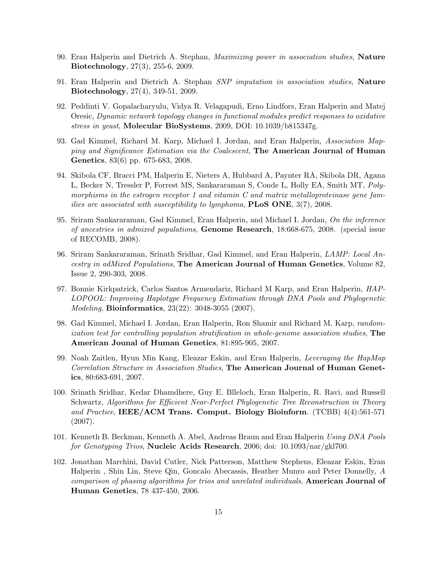- 90. Eran Halperin and Dietrich A. Stephan, Maximizing power in association studies, Nature Biotechnology, 27(3), 255-6, 2009.
- 91. Eran Halperin and Dietrich A. Stephan SNP imputation in association studies, Nature Biotechnology, 27(4), 349-51, 2009.
- 92. Peddinti V. Gopalacharyulu, Vidya R. Velagapudi, Erno Lindfors, Eran Halperin and Matej Oresic, Dynamic network topology changes in functional modules predict responses to oxidative stress in yeast, Molecular BioSystems, 2009, DOI: 10.1039/b815347g.
- 93. Gad Kimmel, Richard M. Karp, Michael I. Jordan, and Eran Halperin, Association Mapping and Significance Estimation via the Coalescent, The American Journal of Human Genetics, 83(6) pp. 675-683, 2008.
- 94. Skibola CF, Bracci PM, Halperin E, Nieters A, Hubbard A, Paynter RA, Skibola DR, Agana L, Becker N, Tressler P, Forrest MS, Sankararaman S, Conde L, Holly EA, Smith MT, Polymorphisms in the estrogen receptor 1 and vitamin  $C$  and matrix metalloproteinase gene families are associated with susceptibility to lymphoma,  $PLoS$  ONE,  $3(7)$ , 2008.
- 95. Sriram Sankararaman, Gad Kimmel, Eran Halperin, and Michael I. Jordan, On the inference of ancestries in admixed populations, Genome Research, 18:668-675, 2008. (special issue of RECOMB, 2008).
- 96. Sriram Sankararaman, Srinath Sridhar, Gad Kimmel, and Eran Halperin, LAMP: Local Ancestry in adMixed Populations, The American Journal of Human Genetics, Volume 82, Issue 2, 290-303, 2008.
- 97. Bonnie Kirkpatrick, Carlos Santos Armendariz, Richard M Karp, and Eran Halperin, HAP-LOPOOL: Improving Haplotype Frequency Estimation through DNA Pools and Phylogenetic Modeling, Bioinformatics, 23(22): 3048-3055 (2007).
- 98. Gad Kimmel, Michael I. Jordan, Eran Halperin, Ron Shamir and Richard M. Karp, randomization test for controlling population stratification in whole-genome association studies, The American Jounal of Human Genetics, 81:895-905, 2007.
- 99. Noah Zaitlen, Hyun Min Kang, Eleazar Eskin, and Eran Halperin, Leveraging the HapMap Correlation Structure in Association Studies, The American Journal of Human Genetics, 80:683-691, 2007.
- 100. Srinath Sridhar, Kedar Dhamdhere, Guy E. Blleloch, Eran Halperin, R. Ravi, and Russell Schwartz, Algorithms for Efficient Near-Perfect Phylogenetic Tree Reconstruction in Theory and Practice, IEEE/ACM Trans. Comput. Biology Bioinform. (TCBB) 4(4):561-571 (2007).
- 101. Kenneth B. Beckman, Kenneth A. Abel, Andreas Braun and Eran Halperin Using DNA Pools for Genotyping Trios, **Nucleic Acids Research**, 2006; doi:  $10.1093/nar/gkl700$ .
- 102. Jonathan Marchini, David Cutler, Nick Patterson, Matthew Stephens, Eleazar Eskin, Eran Halperin , Shin Lin, Steve Qin, Goncalo Abecassis, Heather Munro and Peter Donnelly, A comparison of phasing algorithms for trios and unrelated individuals, American Journal of Human Genetics, 78 437-450, 2006.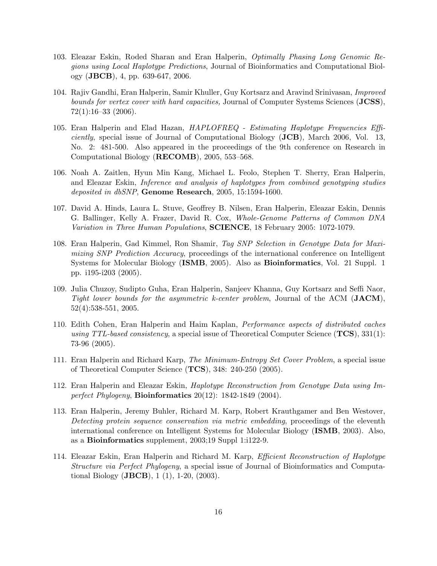- 103. Eleazar Eskin, Roded Sharan and Eran Halperin, Optimally Phasing Long Genomic Regions using Local Haplotype Predictions, Journal of Bioinformatics and Computational Biology (JBCB), 4, pp. 639-647, 2006.
- 104. Rajiv Gandhi, Eran Halperin, Samir Khuller, Guy Kortsarz and Aravind Srinivasan, Improved bounds for vertex cover with hard capacities, Journal of Computer Systems Sciences (JCSS),  $72(1):16-33(2006).$
- 105. Eran Halperin and Elad Hazan, HAPLOFREQ Estimating Haplotype Frequencies Effi*ciently,* special issue of Journal of Computational Biology  $JCB$ , March 2006, Vol. 13, No. 2: 481-500. Also appeared in the proceedings of the 9th conference on Research in Computational Biology (RECOMB), 2005, 553–568.
- 106. Noah A. Zaitlen, Hyun Min Kang, Michael L. Feolo, Stephen T. Sherry, Eran Halperin, and Eleazar Eskin, Inference and analysis of haplotypes from combined genotyping studies deposited in dbSNP, Genome Research, 2005, 15:1594-1600.
- 107. David A. Hinds, Laura L. Stuve, Geoffrey B. Nilsen, Eran Halperin, Eleazar Eskin, Dennis G. Ballinger, Kelly A. Frazer, David R. Cox, Whole-Genome Patterns of Common DNA Variation in Three Human Populations, SCIENCE, 18 February 2005: 1072-1079.
- 108. Eran Halperin, Gad Kimmel, Ron Shamir, Tag SNP Selection in Genotype Data for Maximizing SNP Prediction Accuracy, proceedings of the international conference on Intelligent Systems for Molecular Biology (ISMB, 2005). Also as Bioinformatics, Vol. 21 Suppl. 1 pp. i195-i203 (2005).
- 109. Julia Chuzoy, Sudipto Guha, Eran Halperin, Sanjeev Khanna, Guy Kortsarz and Seffi Naor, Tight lower bounds for the asymmetric k-center problem, Journal of the ACM  $(JACM)$ , 52(4):538-551, 2005.
- 110. Edith Cohen, Eran Halperin and Haim Kaplan, Performance aspects of distributed caches using TTL-based consistency, a special issue of Theoretical Computer Science  $(TCS)$ , 331(1): 73-96 (2005).
- 111. Eran Halperin and Richard Karp, The Minimum-Entropy Set Cover Problem, a special issue of Theoretical Computer Science (TCS), 348: 240-250 (2005).
- 112. Eran Halperin and Eleazar Eskin, Haplotype Reconstruction from Genotype Data using Imperfect Phylogeny, Bioinformatics 20(12): 1842-1849 (2004).
- 113. Eran Halperin, Jeremy Buhler, Richard M. Karp, Robert Krauthgamer and Ben Westover, Detecting protein sequence conservation via metric embedding, proceedings of the eleventh international conference on Intelligent Systems for Molecular Biology (ISMB, 2003). Also, as a Bioinformatics supplement, 2003;19 Suppl 1:i122-9.
- 114. Eleazar Eskin, Eran Halperin and Richard M. Karp, Efficient Reconstruction of Haplotype Structure via Perfect Phylogeny, a special issue of Journal of Bioinformatics and Computational Biology (JBCB), 1 (1), 1-20, (2003).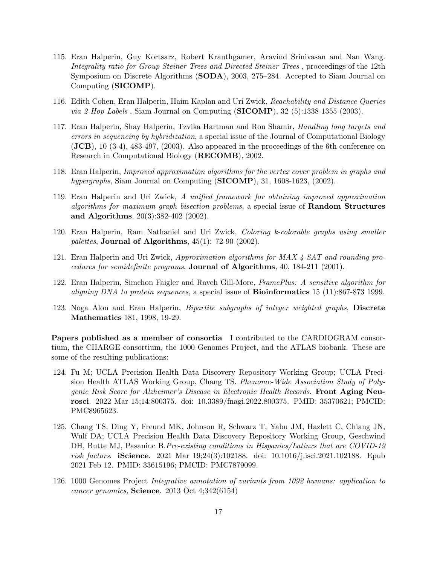- 115. Eran Halperin, Guy Kortsarz, Robert Krauthgamer, Aravind Srinivasan and Nan Wang. Integrality ratio for Group Steiner Trees and Directed Steiner Trees , proceedings of the 12th Symposium on Discrete Algorithms (SODA), 2003, 275–284. Accepted to Siam Journal on Computing (SICOMP).
- 116. Edith Cohen, Eran Halperin, Haim Kaplan and Uri Zwick, Reachability and Distance Queries *via 2-Hop Labels*, Siam Journal on Computing  $(SICOMP)$ , 32 (5):1338-1355 (2003).
- 117. Eran Halperin, Shay Halperin, Tzvika Hartman and Ron Shamir, Handling long targets and errors in sequencing by hybridization, a special issue of the Journal of Computational Biology (JCB), 10 (3-4), 483-497, (2003). Also appeared in the proceedings of the 6th conference on Research in Computational Biology (RECOMB), 2002.
- 118. Eran Halperin, Improved approximation algorithms for the vertex cover problem in graphs and hypergraphs, Siam Journal on Computing  $(SICOMP)$ , 31, 1608-1623, (2002).
- 119. Eran Halperin and Uri Zwick, A unified framework for obtaining improved approximation algorithms for maximum graph bisection problems, a special issue of **Random Structures** and Algorithms, 20(3):382-402 (2002).
- 120. Eran Halperin, Ram Nathaniel and Uri Zwick, Coloring k-colorable graphs using smaller palettes, Journal of Algorithms,  $45(1)$ : 72-90 (2002).
- 121. Eran Halperin and Uri Zwick, Approximation algorithms for MAX 4-SAT and rounding procedures for semidefinite programs, Journal of Algorithms, 40, 184-211 (2001).
- 122. Eran Halperin, Simchon Faigler and Raveh Gill-More, FramePlus: A sensitive algorithm for *aligning DNA to protein sequences, a special issue of Bioinformatics 15 (11):867-873 1999.*
- 123. Noga Alon and Eran Halperin, Bipartite subgraphs of integer weighted graphs, Discrete Mathematics 181, 1998, 19-29.

Papers published as a member of consortia I contributed to the CARDIOGRAM consortium, the CHARGE consortium, the 1000 Genomes Project, and the ATLAS biobank. These are some of the resulting publications:

- 124. Fu M; UCLA Precision Health Data Discovery Repository Working Group; UCLA Precision Health ATLAS Working Group, Chang TS. Phenome-Wide Association Study of Polygenic Risk Score for Alzheimer's Disease in Electronic Health Records. Front Aging Neurosci. 2022 Mar 15;14:800375. doi: 10.3389/fnagi.2022.800375. PMID: 35370621; PMCID: PMC8965623.
- 125. Chang TS, Ding Y, Freund MK, Johnson R, Schwarz T, Yabu JM, Hazlett C, Chiang JN, Wulf DA; UCLA Precision Health Data Discovery Repository Working Group, Geschwind DH, Butte MJ, Pasaniuc B. Pre-existing conditions in Hispanics/Latinxs that are COVID-19 risk factors. iScience. 2021 Mar 19;24(3):102188. doi: 10.1016/j.isci.2021.102188. Epub 2021 Feb 12. PMID: 33615196; PMCID: PMC7879099.
- 126. 1000 Genomes Project Integrative annotation of variants from 1092 humans: application to cancer genomics, Science. 2013 Oct 4;342(6154)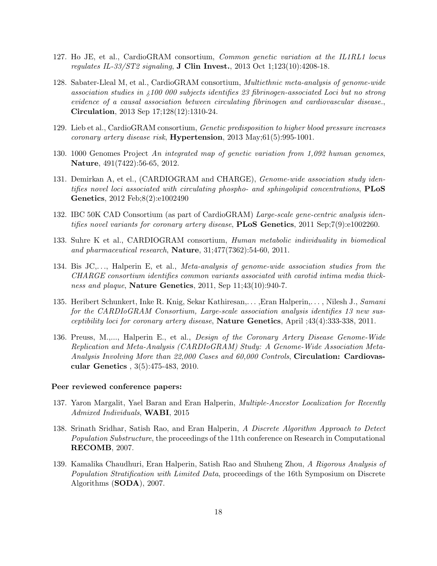- 127. Ho JE, et al., CardioGRAM consortium, Common genetic variation at the IL1RL1 locus regulates IL-33/ST2 signaling, **J Clin Invest.**, 2013 Oct 1;123(10):4208-18.
- 128. Sabater-Lleal M, et al., CardioGRAM consortium, Multiethnic meta-analysis of genome-wide association studies in ¿100 000 subjects identifies 23 fibrinogen-associated Loci but no strong evidence of a causal association between circulating fibrinogen and cardiovascular disease., Circulation, 2013 Sep 17;128(12):1310-24.
- 129. Lieb et al., CardioGRAM consortium, Genetic predisposition to higher blood pressure increases *coronary artery disease risk*, **Hypertension**, 2013 May; $61(5):995-1001$ .
- 130. 1000 Genomes Project An integrated map of genetic variation from 1,092 human genomes, Nature, 491(7422):56-65, 2012.
- 131. Demirkan A, et el., (CARDIOGRAM and CHARGE), Genome-wide association study identifies novel loci associated with circulating phospho- and sphingolipid concentrations,  $PLoS$ Genetics, 2012 Feb;8(2):e1002490
- 132. IBC 50K CAD Consortium (as part of CardioGRAM) Large-scale gene-centric analysis identifies novel variants for coronary artery disease, **PLoS Genetics**,  $2011$  Sep;7(9):e1002260.
- 133. Suhre K et al., CARDIOGRAM consortium, Human metabolic individuality in biomedical and pharmaceutical research, Nature, 31;477(7362):54-60, 2011.
- 134. Bis JC,. . ., Halperin E, et al., Meta-analysis of genome-wide association studies from the CHARGE consortium identifies common variants associated with carotid intima media thickness and plaque, Nature Genetics, 2011, Sep 11;43(10):940-7.
- 135. Heribert Schunkert, Inke R. Knig, Sekar Kathiresan,..., Eran Halperin,..., Nilesh J., Samani for the CARDIoGRAM Consortium, Large-scale association analysis identifies 13 new susceptibility loci for coronary artery disease, Nature Genetics, April ;43(4):333-338, 2011.
- 136. Preuss, M.,..., Halperin E., et al., Design of the Coronary Artery Disease Genome-Wide Replication and Meta-Analysis (CARDIoGRAM) Study: A Genome-Wide Association Meta-Analysis Involving More than 22,000 Cases and 60,000 Controls, Circulation: Cardiovascular Genetics , 3(5):475-483, 2010.

### Peer reviewed conference papers:

- 137. Yaron Margalit, Yael Baran and Eran Halperin, Multiple-Ancestor Localization for Recently Admixed Individuals, WABI, 2015
- 138. Srinath Sridhar, Satish Rao, and Eran Halperin, A Discrete Algorithm Approach to Detect Population Substructure, the proceedings of the 11th conference on Research in Computational RECOMB, 2007.
- 139. Kamalika Chaudhuri, Eran Halperin, Satish Rao and Shuheng Zhou, A Rigorous Analysis of Population Stratification with Limited Data, proceedings of the 16th Symposium on Discrete Algorithms (SODA), 2007.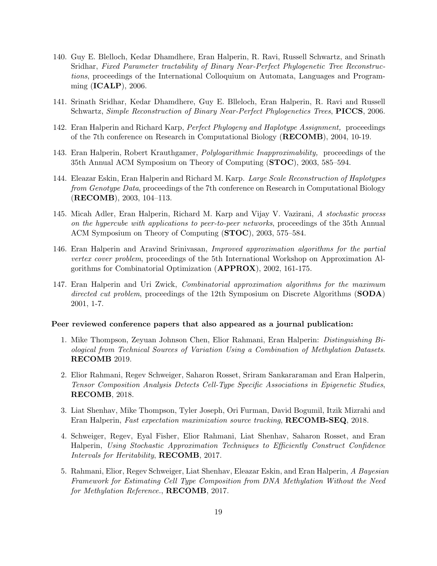- 140. Guy E. Blelloch, Kedar Dhamdhere, Eran Halperin, R. Ravi, Russell Schwartz, and Srinath Sridhar, Fixed Parameter tractability of Binary Near-Perfect Phylogenetic Tree Reconstructions, proceedings of the International Colloquium on Automata, Languages and Programming (ICALP), 2006.
- 141. Srinath Sridhar, Kedar Dhamdhere, Guy E. Blleloch, Eran Halperin, R. Ravi and Russell Schwartz, Simple Reconstruction of Binary Near-Perfect Phylogenetics Trees, PICCS, 2006.
- 142. Eran Halperin and Richard Karp, Perfect Phylogeny and Haplotype Assignment, proceedings of the 7th conference on Research in Computational Biology (RECOMB), 2004, 10-19.
- 143. Eran Halperin, Robert Krauthgamer, Polylogarithmic Inapproximability, proceedings of the 35th Annual ACM Symposium on Theory of Computing (STOC), 2003, 585–594.
- 144. Eleazar Eskin, Eran Halperin and Richard M. Karp. Large Scale Reconstruction of Haplotypes from Genotype Data, proceedings of the 7th conference on Research in Computational Biology (RECOMB), 2003, 104–113.
- 145. Micah Adler, Eran Halperin, Richard M. Karp and Vijay V. Vazirani, A stochastic process on the hypercube with applications to peer-to-peer networks, proceedings of the 35th Annual ACM Symposium on Theory of Computing (STOC), 2003, 575–584.
- 146. Eran Halperin and Aravind Srinivasan, Improved approximation algorithms for the partial vertex cover problem, proceedings of the 5th International Workshop on Approximation Algorithms for Combinatorial Optimization (APPROX), 2002, 161-175.
- 147. Eran Halperin and Uri Zwick, Combinatorial approximation algorithms for the maximum directed cut problem, proceedings of the 12th Symposium on Discrete Algorithms (SODA) 2001, 1-7.

### Peer reviewed conference papers that also appeared as a journal publication:

- 1. Mike Thompson, Zeyuan Johnson Chen, Elior Rahmani, Eran Halperin: Distinguishing Biological from Technical Sources of Variation Using a Combination of Methylation Datasets. RECOMB 2019.
- 2. Elior Rahmani, Regev Schweiger, Saharon Rosset, Sriram Sankararaman and Eran Halperin, Tensor Composition Analysis Detects Cell-Type Specific Associations in Epigenetic Studies, RECOMB, 2018.
- 3. Liat Shenhav, Mike Thompson, Tyler Joseph, Ori Furman, David Bogumil, Itzik Mizrahi and Eran Halperin, Fast expectation maximization source tracking, RECOMB-SEQ, 2018.
- 4. Schweiger, Regev, Eyal Fisher, Elior Rahmani, Liat Shenhav, Saharon Rosset, and Eran Halperin, Using Stochastic Approximation Techniques to Efficiently Construct Confidence Intervals for Heritability, RECOMB, 2017.
- 5. Rahmani, Elior, Regev Schweiger, Liat Shenhav, Eleazar Eskin, and Eran Halperin, A Bayesian Framework for Estimating Cell Type Composition from DNA Methylation Without the Need for Methylation Reference., RECOMB, 2017.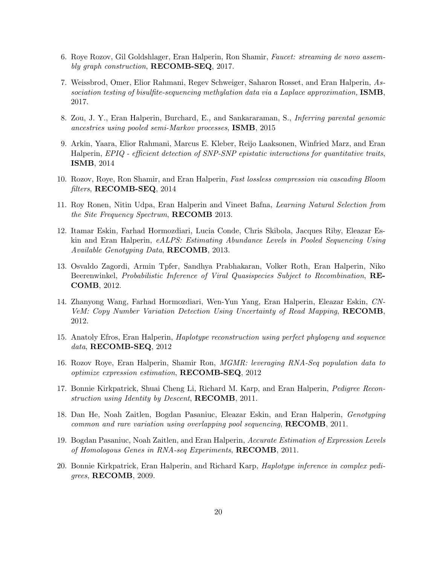- 6. Roye Rozov, Gil Goldshlager, Eran Halperin, Ron Shamir, Faucet: streaming de novo assembly graph construction, RECOMB-SEQ, 2017.
- 7. Weissbrod, Omer, Elior Rahmani, Regev Schweiger, Saharon Rosset, and Eran Halperin, Association testing of bisulfite-sequencing methylation data via a Laplace approximation, ISMB, 2017.
- 8. Zou, J. Y., Eran Halperin, Burchard, E., and Sankararaman, S., Inferring parental genomic ancestries using pooled semi-Markov processes, ISMB, 2015
- 9. Arkin, Yaara, Elior Rahmani, Marcus E. Kleber, Reijo Laaksonen, Winfried Marz, and Eran Halperin, EPIQ - efficient detection of SNP-SNP epistatic interactions for quantitative traits, ISMB, 2014
- 10. Rozov, Roye, Ron Shamir, and Eran Halperin, Fast lossless compression via cascading Bloom filters, RECOMB-SEQ, 2014
- 11. Roy Ronen, Nitin Udpa, Eran Halperin and Vineet Bafna, Learning Natural Selection from the Site Frequency Spectrum, RECOMB 2013.
- 12. Itamar Eskin, Farhad Hormozdiari, Lucia Conde, Chris Skibola, Jacques Riby, Eleazar Eskin and Eran Halperin, eALPS: Estimating Abundance Levels in Pooled Sequencing Using Available Genotyping Data, RECOMB, 2013.
- 13. Osvaldo Zagordi, Armin Tpfer, Sandhya Prabhakaran, Volker Roth, Eran Halperin, Niko Beerenwinkel, Probabilistic Inference of Viral Quasispecies Subject to Recombination, RE-COMB, 2012.
- 14. Zhanyong Wang, Farhad Hormozdiari, Wen-Yun Yang, Eran Halperin, Eleazar Eskin, CN-VeM: Copy Number Variation Detection Using Uncertainty of Read Mapping, RECOMB, 2012.
- 15. Anatoly Efros, Eran Halperin, Haplotype reconstruction using perfect phylogeny and sequence data, RECOMB-SEQ, 2012
- 16. Rozov Roye, Eran Halperin, Shamir Ron, MGMR: leveraging RNA-Seq population data to optimize expression estimation, RECOMB-SEQ, 2012
- 17. Bonnie Kirkpatrick, Shuai Cheng Li, Richard M. Karp, and Eran Halperin, Pedigree Reconstruction using Identity by Descent, **RECOMB**, 2011.
- 18. Dan He, Noah Zaitlen, Bogdan Pasaniuc, Eleazar Eskin, and Eran Halperin, Genotyping common and rare variation using overlapping pool sequencing, RECOMB, 2011.
- 19. Bogdan Pasaniuc, Noah Zaitlen, and Eran Halperin, Accurate Estimation of Expression Levels of Homologous Genes in RNA-seq Experiments, RECOMB, 2011.
- 20. Bonnie Kirkpatrick, Eran Halperin, and Richard Karp, Haplotype inference in complex pedigrees, RECOMB, 2009.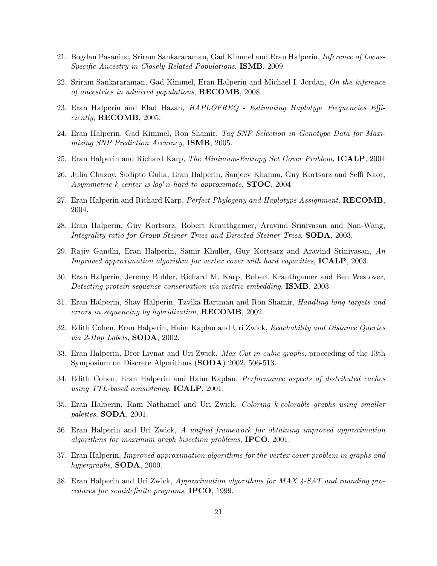- 21. Bogdan Pasaniuc, Sriram Sankararaman, Gad Kimmel and Eran Halperin, Inference of Locus-Specific Ancestry in Closely Related Populations, ISMB, 2009
- 22. Sriram Sankararaman, Gad Kimmel, Eran Halperin and Michael I. Jordan, On the inference of ancestries in admixed populations, RECOMB, 2008.
- 23. Eran Halperin and Elad Hazan, HAPLOFREQ Estimating Haplotype Frequencies Efficiently, RECOMB, 2005.
- 24. Eran Halperin, Gad Kimmel, Ron Shamir, Tag SNP Selection in Genotype Data for Maximizing SNP Prediction Accuracy, ISMB, 2005.
- 25. Eran Halperin and Richard Karp, The Minimum-Entropy Set Cover Problem, ICALP, 2004
- 26. Julia Chuzoy, Sudipto Guha, Eran Halperin, Sanjeev Khanna, Guy Kortsarz and Seffi Naor, Asymmetric k-center is  $log^*n$ -hard to approximate, **STOC**, 2004
- 27. Eran Halperin and Richard Karp, Perfect Phylogeny and Haplotype Assignment, RECOMB, 2004.
- 28. Eran Halperin, Guy Kortsarz, Robert Krauthgamer, Aravind Srinivasan and Nan-Wang, Integrality ratio for Group Steiner Trees and Directed Steiner Trees, **SODA**, 2003.
- 29. Rajiv Gandhi, Eran Halperin, Samir Khuller, Guy Kortsarz and Aravind Srinivasan, An *Improved approximation algorithm for vertex cover with hard capacities,*  $\text{ICALP}, 2003$ .
- 30. Eran Halperin, Jeremy Buhler, Richard M. Karp, Robert Krauthgamer and Ben Westover, Detecting protein sequence conservation via metric embedding, ISMB, 2003.
- 31. Eran Halperin, Shay Halperin, Tzvika Hartman and Ron Shamir, Handling long targets and errors in sequencing by hybridization, RECOMB, 2002.
- 32. Edith Cohen, Eran Halperin, Haim Kaplan and Uri Zwick, Reachability and Distance Queries via 2-Hop Labels, SODA, 2002.
- 33. Eran Halperin, Dror Livnat and Uri Zwick. Max Cut in cubic graphs, proceeding of the 13th Symposium on Discrete Algorithms (SODA) 2002, 506-513.
- 34. Edith Cohen, Eran Halperin and Haim Kaplan, Performance aspects of distributed caches using TTL-based consistency, ICALP, 2001.
- 35. Eran Halperin, Ram Nathaniel and Uri Zwick, Coloring k-colorable graphs using smaller palettes, SODA, 2001.
- 36. Eran Halperin and Uri Zwick, A unified framework for obtaining improved approximation algorithms for maximum graph bisection problems, IPCO, 2001.
- 37. Eran Halperin, Improved approximation algorithms for the vertex cover problem in graphs and hypergraphs,  $SODA$ , 2000.
- 38. Eran Halperin and Uri Zwick, Approximation algorithms for MAX 4-SAT and rounding procedures for semidefinite programs, IPCO, 1999.